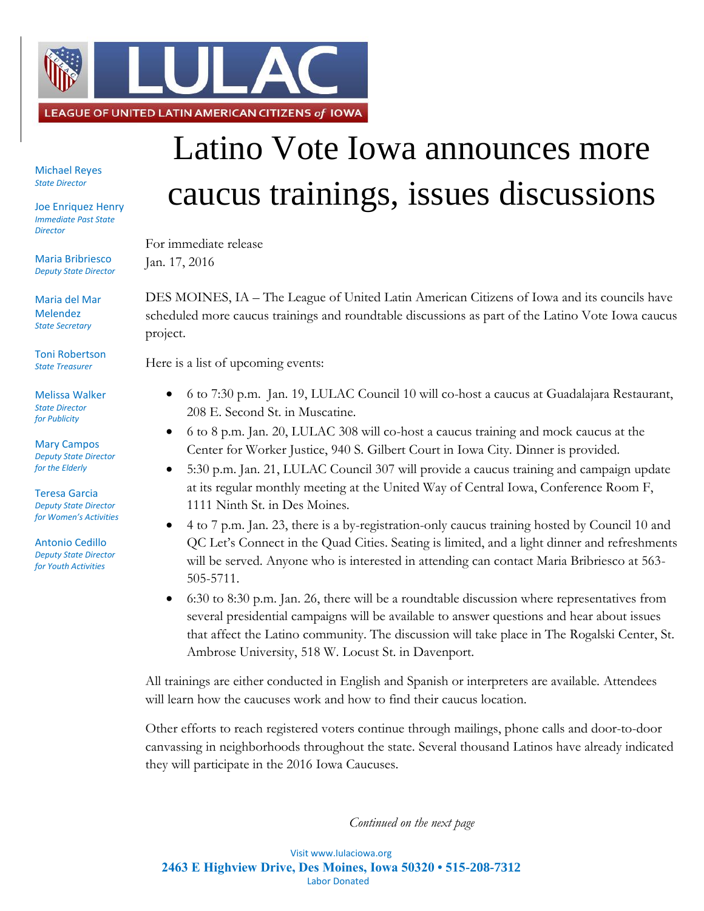

Michael Reyes *State Director*

Joe Enriquez Henry *Immediate Past State Director*

Maria Bribriesco *Deputy State Director*

Maria del Mar Melendez *State Secretary*

Toni Robertson *State Treasurer*

Melissa Walker *State Director for Publicity*

Mary Campos *Deputy State Director for the Elderly*

Teresa Garcia *Deputy State Director for Women's Activities*

Antonio Cedillo *Deputy State Director for Youth Activities*

## Latino Vote Iowa announces more caucus trainings, issues discussions

For immediate release Jan. 17, 2016

DES MOINES, IA – The League of United Latin American Citizens of Iowa and its councils have scheduled more caucus trainings and roundtable discussions as part of the Latino Vote Iowa caucus project.

Here is a list of upcoming events:

- 6 to 7:30 p.m. Jan. 19, LULAC Council 10 will co-host a caucus at Guadalajara Restaurant, 208 E. Second St. in Muscatine.
- 6 to 8 p.m. Jan. 20, LULAC 308 will co-host a caucus training and mock caucus at the Center for Worker Justice, 940 S. Gilbert Court in Iowa City. Dinner is provided.
- 5:30 p.m. Jan. 21, LULAC Council 307 will provide a caucus training and campaign update at its regular monthly meeting at the United Way of Central Iowa, Conference Room F, 1111 Ninth St. in Des Moines.
- 4 to 7 p.m. Jan. 23, there is a by-registration-only caucus training hosted by Council 10 and QC Let's Connect in the Quad Cities. Seating is limited, and a light dinner and refreshments will be served. Anyone who is interested in attending can contact Maria Bribriesco at 563- 505-5711.
- 6:30 to 8:30 p.m. Jan. 26, there will be a roundtable discussion where representatives from several presidential campaigns will be available to answer questions and hear about issues that affect the Latino community. The discussion will take place in The Rogalski Center, St. Ambrose University, 518 W. Locust St. in Davenport.

All trainings are either conducted in English and Spanish or interpreters are available. Attendees will learn how the caucuses work and how to find their caucus location.

Other efforts to reach registered voters continue through mailings, phone calls and door-to-door canvassing in neighborhoods throughout the state. Several thousand Latinos have already indicated they will participate in the 2016 Iowa Caucuses.

*Continued on the next page*